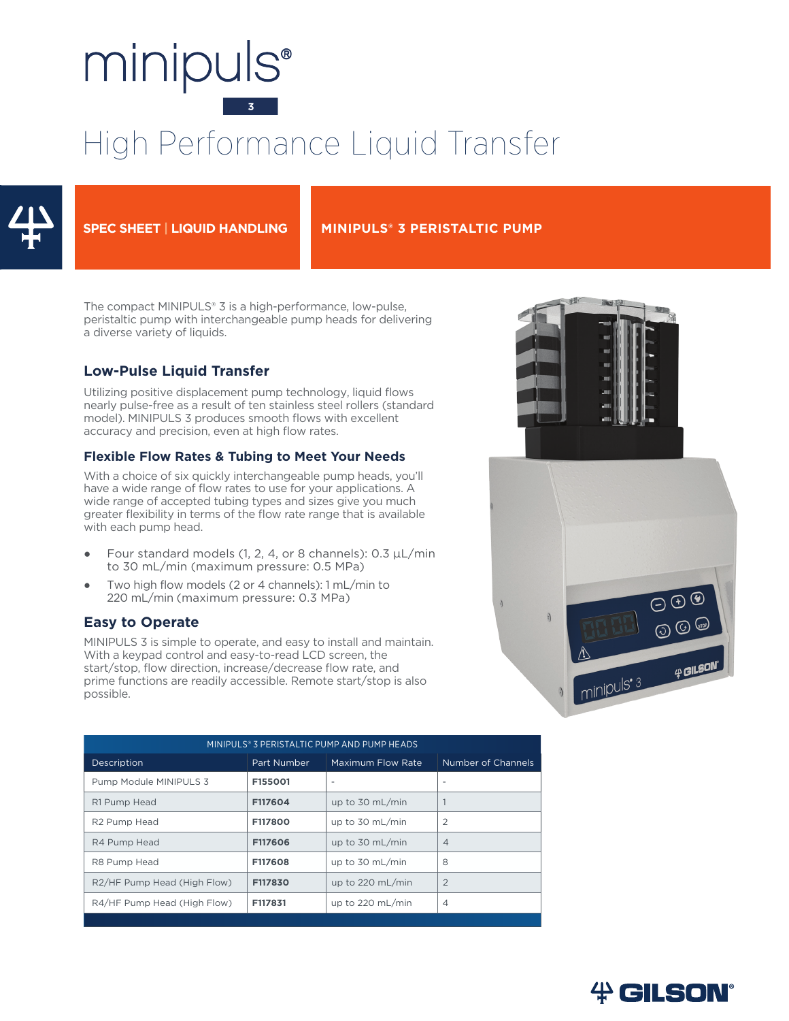# minipuls<sup>®</sup>

# High Performance Liquid Transfer



#### **SPEC SHEET | LIQUID HANDLING MINIPULS® 3 PERISTALTIC PUMP**

The compact MINIPULS® 3 is a high-performance, low-pulse, peristaltic pump with interchangeable pump heads for delivering a diverse variety of liquids.

### **Low-Pulse Liquid Transfer**

Utilizing positive displacement pump technology, liquid flows nearly pulse-free as a result of ten stainless steel rollers (standard model). MINIPULS 3 produces smooth flows with excellent accuracy and precision, even at high flow rates.

#### **Flexible Flow Rates & Tubing to Meet Your Needs**

With a choice of six quickly interchangeable pump heads, you'll have a wide range of flow rates to use for your applications. A wide range of accepted tubing types and sizes give you much greater flexibility in terms of the flow rate range that is available with each pump head.

- Four standard models (1, 2, 4, or 8 channels):  $0.3 \mu L/min$ to 30 mL/min (maximum pressure: 0.5 MPa)
- Two high flow models (2 or 4 channels):  $1 mL/min$  to 220 mL/min (maximum pressure: 0.3 MPa)

#### **Easy to Operate**

MINIPULS 3 is simple to operate, and easy to install and maintain. With a keypad control and easy-to-read LCD screen, the start/stop, flow direction, increase/decrease flow rate, and prime functions are readily accessible. Remote start/stop is also possible.

| MINIPULS® 3 PERISTALTIC PUMP AND PUMP HEADS |             |                            |                    |  |  |  |  |
|---------------------------------------------|-------------|----------------------------|--------------------|--|--|--|--|
| Description                                 | Part Number | Maximum Flow Rate          | Number of Channels |  |  |  |  |
| Pump Module MINIPULS 3                      | F155001     | $\overline{\phantom{a}}$   |                    |  |  |  |  |
| R1 Pump Head                                | F117604     | up to $30 \text{ mL/min}$  |                    |  |  |  |  |
| R <sub>2</sub> Pump Head                    | F117800     | up to 30 mL/min            | $\overline{2}$     |  |  |  |  |
| R4 Pump Head                                | F117606     | up to $30 \text{ mL/min}$  | $\overline{4}$     |  |  |  |  |
| R8 Pump Head                                | F117608     | up to 30 mL/min            | 8                  |  |  |  |  |
| R2/HF Pump Head (High Flow)                 | F117830     | up to $220$ mL/min         | $\overline{2}$     |  |  |  |  |
| R4/HF Pump Head (High Flow)                 | F117831     | up to $220 \text{ mL/min}$ | $\overline{4}$     |  |  |  |  |
|                                             |             |                            |                    |  |  |  |  |